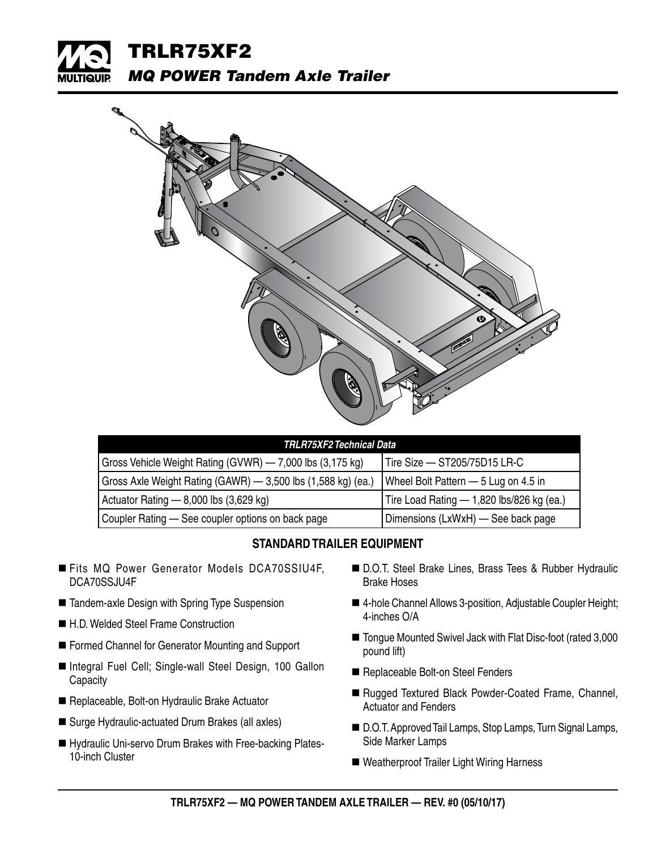



| TRLR75XF2 Technical Data                                     |                                           |  |  |  |
|--------------------------------------------------------------|-------------------------------------------|--|--|--|
| Gross Vehicle Weight Rating (GVWR) - 7,000 lbs (3,175 kg)    | Tire Size - ST205/75D15 LR-C              |  |  |  |
| Gross Axle Weight Rating (GAWR) - 3,500 lbs (1,588 kg) (ea.) | Wheel Bolt Pattern - 5 Lug on 4.5 in      |  |  |  |
| Actuator Rating $- 8,000$ lbs $(3,629$ kg)                   | Tire Load Rating - 1,820 lbs/826 kg (ea.) |  |  |  |
| Coupler Rating - See coupler options on back page            | Dimensions (LxWxH) - See back page        |  |  |  |

## **STANDARD TRAILER EQUIPMENT**

- Fits MQ Power Generator Models DCA70SSIU4F. DCA70SSJU4F
- Tandem-axle Design with Spring Type Suspension
- H.D. Welded Steel Frame Construction
- Formed Channel for Generator Mounting and Support
- Integral Fuel Cell; Single-wall Steel Design, 100 Gallon **Capacity**
- Replaceable, Bolt-on Hydraulic Brake Actuator
- Surge Hydraulic-actuated Drum Brakes (all axles)
- Hydraulic Uni-servo Drum Brakes with Free-backing Plates-10-inch Cluster
- D.O.T. Steel Brake Lines, Brass Tees & Rubber Hydraulic Brake Hoses
- 4-hole Channel Allows 3-position, Adjustable Coupler Height; 4-inches O/A
- Tongue Mounted Swivel Jack with Flat Disc-foot (rated 3,000 pound lift)
- Replaceable Bolt-on Steel Fenders
- Rugged Textured Black Powder-Coated Frame, Channel, Actuator and Fenders
- D.O.T. Approved Tail Lamps, Stop Lamps, Turn Signal Lamps, Side Marker Lamps
- Weatherproof Trailer Light Wiring Harness